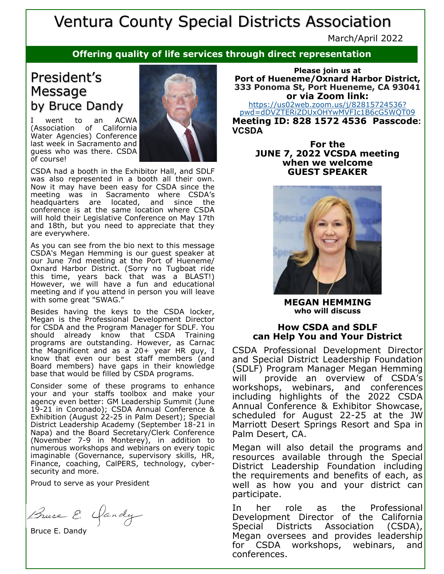# Ventura County Special Districts Association

March/April 2022

### **Offering quality of life services through direct representation**

### President's Message by Bruce Dandy

I went to an ACWA (Association of California Water Agencies) Conference last week in Sacramento and guess who was there. CSDA of course!



CSDA had a booth in the Exhibitor Hall, and SDLF was also represented in a booth all their own. Now it may have been easy for CSDA since the meeting was in Sacramento where CSDA's headquarters are located, and since the conference is at the same location where CSDA will hold their Legislative Conference on May 17th and 18th, but you need to appreciate that they are everywhere.

As you can see from the bio next to this message CSDA's Megan Hemming is our guest speaker at our June 7nd meeting at the Port of Hueneme/ Oxnard Harbor District. (Sorry no Tugboat ride this time, years back that was a BLAST!) However, we will have a fun and educational meeting and if you attend in person you will leave with some great "SWAG."

Besides having the keys to the CSDA locker, Megan is the Professional Development Director for CSDA and the Program Manager for SDLF. You should already know that CSDA Training programs are outstanding. However, as Carnac the Magnificent and as a 20+ year HR guy, I know that even our best staff members (and Board members) have gaps in their knowledge base that would be filled by CSDA programs.

Consider some of these programs to enhance your and your staffs toolbox and make your agency even better: GM Leadership Summit (June 19-21 in Coronado); CSDA Annual Conference & Exhibition (August 22-25 in Palm Desert); Special District Leadership Academy (September 18-21 in Napa) and the Board Secretary/Clerk Conference (November 7-9 in Monterey), in addition to numerous workshops and webinars on every topic imaginable (Governance, supervisory skills, HR, Finance, coaching, CalPERS, technology, cybersecurity and more.

Proud to serve as your President

Bruce E. Yandy

Bruce E. Dandy

**Please join us at Port of Hueneme/Oxnard Harbor District, 333 Ponoma St, Port Hueneme, CA 93041 or via Zoom link:** [https://us02web.zoom.us/j/82815724536?](https://us02web.zoom.us/j/82815724536?pwd=dDVZTERiZDUxOHYwMVFIc1B6cG5WQT09) [pwd=dDVZTERiZDUxOHYwMVFIc1B6cG5WQT09](https://us02web.zoom.us/j/82815724536?pwd=dDVZTERiZDUxOHYwMVFIc1B6cG5WQT09) **Meeting ID: 828 1572 4536 Passcode:** 

**VCSDA For the JUNE 7, 2022 VCSDA meeting when we welcome** 

**GUEST SPEAKER**

**MEGAN HEMMING who will discuss**

#### **How CSDA and SDLF can Help You and Your District**

CSDA Professional Development Director and Special District Leadership Foundation (SDLF) Program Manager Megan Hemming will provide an overview of CSDA's workshops, webinars, and conferences including highlights of the 2022 CSDA Annual Conference & Exhibitor Showcase, scheduled for August 22-25 at the JW Marriott Desert Springs Resort and Spa in Palm Desert, CA.

Megan will also detail the programs and resources available through the Special District Leadership Foundation including the requirements and benefits of each, as well as how you and your district can participate.

In her role as the Professional Development Director of the California Special Districts Association (CSDA), Megan oversees and provides leadership for CSDA workshops, webinars, and conferences.